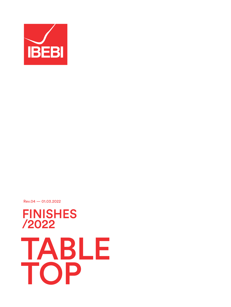

Rev.04 — 01.03.2022